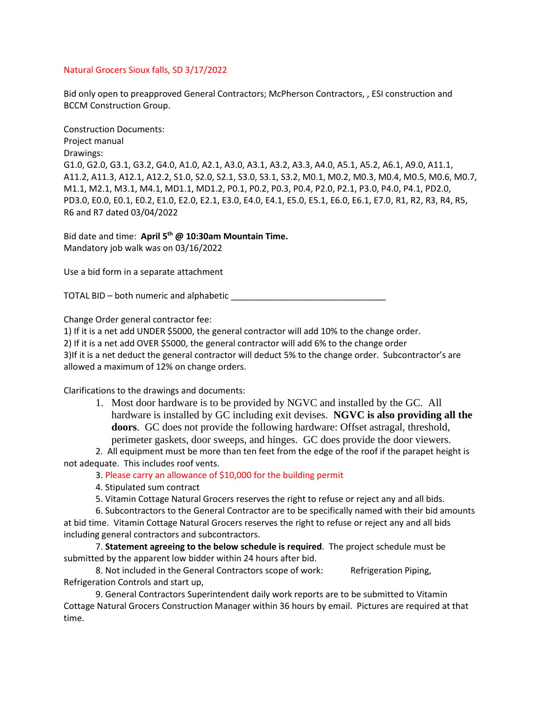## Natural Grocers Sioux falls, SD 3/17/2022

Bid only open to preapproved General Contractors; McPherson Contractors, , ESI construction and BCCM Construction Group.

Construction Documents: Project manual Drawings: G1.0, G2.0, G3.1, G3.2, G4.0, A1.0, A2.1, A3.0, A3.1, A3.2, A3.3, A4.0, A5.1, A5.2, A6.1, A9.0, A11.1, A11.2, A11.3, A12.1, A12.2, S1.0, S2.0, S2.1, S3.0, S3.1, S3.2, M0.1, M0.2, M0.3, M0.4, M0.5, M0.6, M0.7, M1.1, M2.1, M3.1, M4.1, MD1.1, MD1.2, P0.1, P0.2, P0.3, P0.4, P2.0, P2.1, P3.0, P4.0, P4.1, PD2.0, PD3.0, E0.0, E0.1, E0.2, E1.0, E2.0, E2.1, E3.0, E4.0, E4.1, E5.0, E5.1, E6.0, E6.1, E7.0, R1, R2, R3, R4, R5, R6 and R7 dated 03/04/2022

Bid date and time: **April 5 th @ 10:30am Mountain Time.** Mandatory job walk was on 03/16/2022

Use a bid form in a separate attachment

TOTAL BID – both numeric and alphabetic \_\_\_\_\_\_\_\_\_\_\_\_\_\_\_\_\_\_\_\_\_\_\_\_\_\_\_\_\_\_\_\_

Change Order general contractor fee:

1) If it is a net add UNDER \$5000, the general contractor will add 10% to the change order.

2) If it is a net add OVER \$5000, the general contractor will add 6% to the change order

3)If it is a net deduct the general contractor will deduct 5% to the change order. Subcontractor's are allowed a maximum of 12% on change orders.

Clarifications to the drawings and documents:

1. Most door hardware is to be provided by NGVC and installed by the GC. All hardware is installed by GC including exit devises. **NGVC is also providing all the doors**. GC does not provide the following hardware: Offset astragal, threshold, perimeter gaskets, door sweeps, and hinges. GC does provide the door viewers.

2. All equipment must be more than ten feet from the edge of the roof if the parapet height is not adequate. This includes roof vents.

3. Please carry an allowance of \$10,000 for the building permit

4. Stipulated sum contract

5. Vitamin Cottage Natural Grocers reserves the right to refuse or reject any and all bids.

6. Subcontractors to the General Contractor are to be specifically named with their bid amounts at bid time. Vitamin Cottage Natural Grocers reserves the right to refuse or reject any and all bids including general contractors and subcontractors.

7. **Statement agreeing to the below schedule is required**. The project schedule must be submitted by the apparent low bidder within 24 hours after bid.

8. Not included in the General Contractors scope of work: Refrigeration Piping, Refrigeration Controls and start up,

9. General Contractors Superintendent daily work reports are to be submitted to Vitamin Cottage Natural Grocers Construction Manager within 36 hours by email. Pictures are required at that time.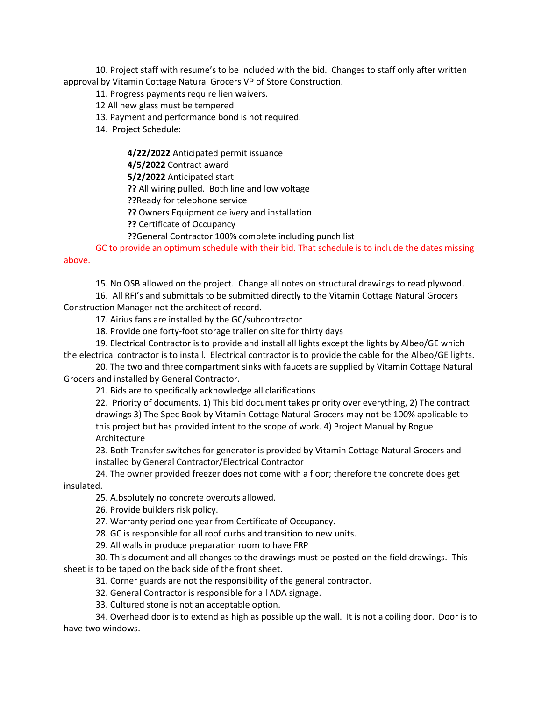10. Project staff with resume's to be included with the bid. Changes to staff only after written approval by Vitamin Cottage Natural Grocers VP of Store Construction.

11. Progress payments require lien waivers.

- 12 All new glass must be tempered
- 13. Payment and performance bond is not required.
- 14. Project Schedule:

**4/22/2022** Anticipated permit issuance

**4/5/2022** Contract award

**5/2/2022** Anticipated start

**??** All wiring pulled. Both line and low voltage

**??**Ready for telephone service

**??** Owners Equipment delivery and installation

**??** Certificate of Occupancy

**??**General Contractor 100% complete including punch list

GC to provide an optimum schedule with their bid. That schedule is to include the dates missing above.

15. No OSB allowed on the project. Change all notes on structural drawings to read plywood.

16. All RFI's and submittals to be submitted directly to the Vitamin Cottage Natural Grocers Construction Manager not the architect of record.

17. Airius fans are installed by the GC/subcontractor

18. Provide one forty-foot storage trailer on site for thirty days

19. Electrical Contractor is to provide and install all lights except the lights by Albeo/GE which the electrical contractor is to install. Electrical contractor is to provide the cable for the Albeo/GE lights.

20. The two and three compartment sinks with faucets are supplied by Vitamin Cottage Natural Grocers and installed by General Contractor.

21. Bids are to specifically acknowledge all clarifications

22. Priority of documents. 1) This bid document takes priority over everything, 2) The contract drawings 3) The Spec Book by Vitamin Cottage Natural Grocers may not be 100% applicable to this project but has provided intent to the scope of work. 4) Project Manual by Rogue Architecture

23. Both Transfer switches for generator is provided by Vitamin Cottage Natural Grocers and installed by General Contractor/Electrical Contractor

24. The owner provided freezer does not come with a floor; therefore the concrete does get insulated.

25. A.bsolutely no concrete overcuts allowed.

26. Provide builders risk policy.

27. Warranty period one year from Certificate of Occupancy.

28. GC is responsible for all roof curbs and transition to new units.

29. All walls in produce preparation room to have FRP

30. This document and all changes to the drawings must be posted on the field drawings. This sheet is to be taped on the back side of the front sheet.

31. Corner guards are not the responsibility of the general contractor.

32. General Contractor is responsible for all ADA signage.

33. Cultured stone is not an acceptable option.

34. Overhead door is to extend as high as possible up the wall. It is not a coiling door. Door is to have two windows.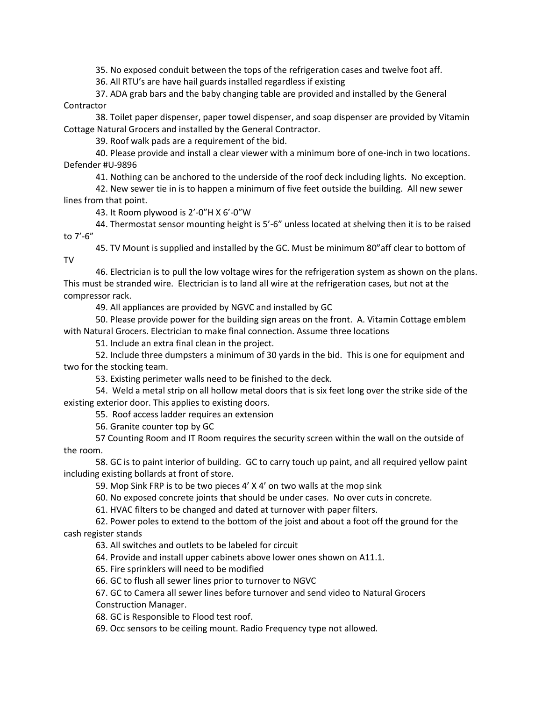35. No exposed conduit between the tops of the refrigeration cases and twelve foot aff.

36. All RTU's are have hail guards installed regardless if existing

37. ADA grab bars and the baby changing table are provided and installed by the General Contractor

38. Toilet paper dispenser, paper towel dispenser, and soap dispenser are provided by Vitamin Cottage Natural Grocers and installed by the General Contractor.

39. Roof walk pads are a requirement of the bid.

40. Please provide and install a clear viewer with a minimum bore of one-inch in two locations. Defender #U-9896

41. Nothing can be anchored to the underside of the roof deck including lights. No exception.

42. New sewer tie in is to happen a minimum of five feet outside the building. All new sewer lines from that point.

43. It Room plywood is 2'-0"H X 6'-0"W

44. Thermostat sensor mounting height is 5'-6" unless located at shelving then it is to be raised to 7'-6"

45. TV Mount is supplied and installed by the GC. Must be minimum 80"aff clear to bottom of TV

46. Electrician is to pull the low voltage wires for the refrigeration system as shown on the plans. This must be stranded wire. Electrician is to land all wire at the refrigeration cases, but not at the compressor rack.

49. All appliances are provided by NGVC and installed by GC

50. Please provide power for the building sign areas on the front. A. Vitamin Cottage emblem with Natural Grocers. Electrician to make final connection. Assume three locations

51. Include an extra final clean in the project.

52. Include three dumpsters a minimum of 30 yards in the bid. This is one for equipment and two for the stocking team.

53. Existing perimeter walls need to be finished to the deck.

54. Weld a metal strip on all hollow metal doors that is six feet long over the strike side of the existing exterior door. This applies to existing doors.

55. Roof access ladder requires an extension

56. Granite counter top by GC

57 Counting Room and IT Room requires the security screen within the wall on the outside of the room.

58. GC is to paint interior of building. GC to carry touch up paint, and all required yellow paint including existing bollards at front of store.

59. Mop Sink FRP is to be two pieces 4' X 4' on two walls at the mop sink

60. No exposed concrete joints that should be under cases. No over cuts in concrete.

61. HVAC filters to be changed and dated at turnover with paper filters.

62. Power poles to extend to the bottom of the joist and about a foot off the ground for the cash register stands

63. All switches and outlets to be labeled for circuit

64. Provide and install upper cabinets above lower ones shown on A11.1.

65. Fire sprinklers will need to be modified

66. GC to flush all sewer lines prior to turnover to NGVC

67. GC to Camera all sewer lines before turnover and send video to Natural Grocers Construction Manager.

68. GC is Responsible to Flood test roof.

69. Occ sensors to be ceiling mount. Radio Frequency type not allowed.